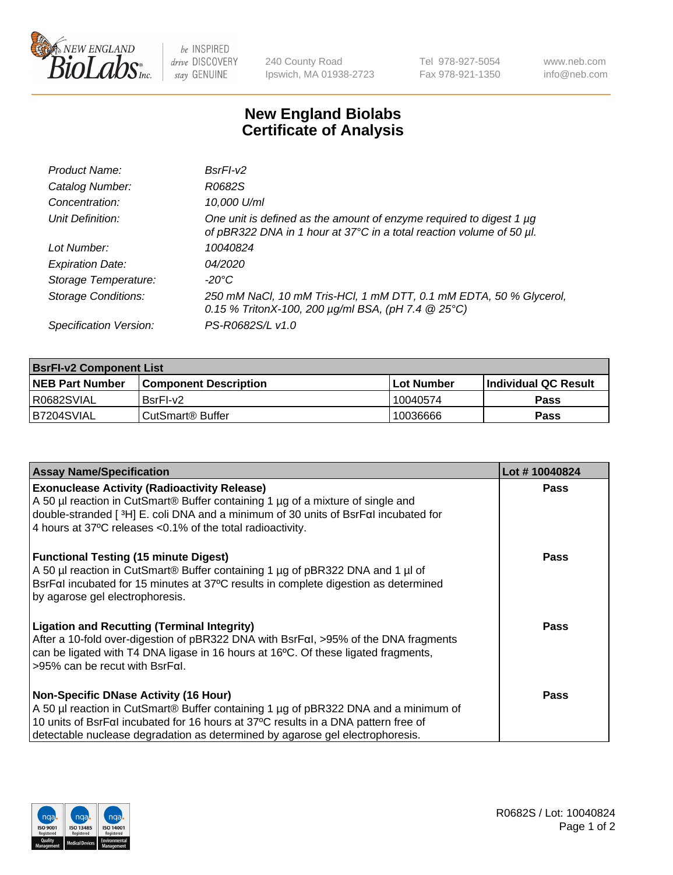

 $be$  INSPIRED drive DISCOVERY stay GENUINE

240 County Road Ipswich, MA 01938-2723 Tel 978-927-5054 Fax 978-921-1350 www.neb.com info@neb.com

## **New England Biolabs Certificate of Analysis**

| Product Name:              | BsrFI-v2                                                                                                                                    |
|----------------------------|---------------------------------------------------------------------------------------------------------------------------------------------|
| Catalog Number:            | R0682S                                                                                                                                      |
| Concentration:             | 10,000 U/ml                                                                                                                                 |
| Unit Definition:           | One unit is defined as the amount of enzyme required to digest 1 µg<br>of pBR322 DNA in 1 hour at 37°C in a total reaction volume of 50 µl. |
| Lot Number:                | 10040824                                                                                                                                    |
| <b>Expiration Date:</b>    | 04/2020                                                                                                                                     |
| Storage Temperature:       | $-20^{\circ}$ C                                                                                                                             |
| <b>Storage Conditions:</b> | 250 mM NaCl, 10 mM Tris-HCl, 1 mM DTT, 0.1 mM EDTA, 50 % Glycerol,<br>0.15 % TritonX-100, 200 $\mu$ g/ml BSA, (pH 7.4 $\circledR$ 25°C)     |
| Specification Version:     | PS-R0682S/L v1.0                                                                                                                            |

| <b>BsrFI-v2 Component List</b> |                              |                   |                             |  |
|--------------------------------|------------------------------|-------------------|-----------------------------|--|
| <b>NEB Part Number</b>         | <b>Component Description</b> | <b>Lot Number</b> | <b>Individual QC Result</b> |  |
| I R0682SVIAL                   | BsrFI-v2                     | 10040574          | <b>Pass</b>                 |  |
| B7204SVIAL                     | l CutSmart® Buffer           | 10036666          | Pass                        |  |

| <b>Assay Name/Specification</b>                                                                                                                                                                                                                                                             | Lot #10040824 |
|---------------------------------------------------------------------------------------------------------------------------------------------------------------------------------------------------------------------------------------------------------------------------------------------|---------------|
| <b>Exonuclease Activity (Radioactivity Release)</b><br>A 50 µl reaction in CutSmart® Buffer containing 1 µg of a mixture of single and<br>double-stranded [3H] E. coli DNA and a minimum of 30 units of BsrFal incubated for<br>4 hours at 37°C releases < 0.1% of the total radioactivity. | Pass          |
| <b>Functional Testing (15 minute Digest)</b><br>A 50 µl reaction in CutSmart® Buffer containing 1 µg of pBR322 DNA and 1 µl of<br>BsrFal incubated for 15 minutes at 37°C results in complete digestion as determined<br>by agarose gel electrophoresis.                                    | Pass          |
| <b>Ligation and Recutting (Terminal Integrity)</b><br>After a 10-fold over-digestion of pBR322 DNA with BsrFal, >95% of the DNA fragments<br>can be ligated with T4 DNA ligase in 16 hours at 16°C. Of these ligated fragments,<br>$>95\%$ can be recut with BsrFal.                        | Pass          |
| <b>Non-Specific DNase Activity (16 Hour)</b>                                                                                                                                                                                                                                                | Pass          |
| A 50 µl reaction in CutSmart <sup>®</sup> Buffer containing 1 µg of pBR322 DNA and a minimum of                                                                                                                                                                                             |               |
| 10 units of BsrFaI incubated for 16 hours at 37°C results in a DNA pattern free of<br>detectable nuclease degradation as determined by agarose gel electrophoresis.                                                                                                                         |               |